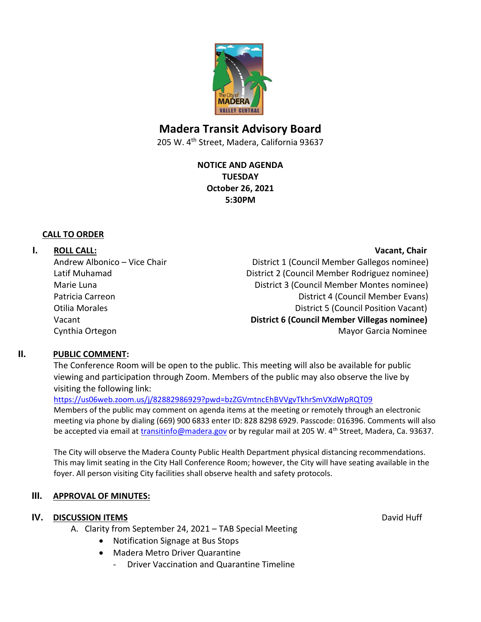

# **Madera Transit Advisory Board**

205 W. 4<sup>th</sup> Street, Madera, California 93637

**NOTICE AND AGENDA TUESDAY October 26, 2021 5:30PM**

#### **CALL TO ORDER**

## **I. ROLL CALL: Vacant, Chair**

Andrew Albonico – Vice Chair **District 1** (Council Member Gallegos nominee) Latif Muhamad District 2 (Council Member Rodriguez nominee) Marie Luna **Marie Luna** District 3 (Council Member Montes nominee) Patricia Carreon **District 4 (Council Member Evans**) **Patricia Carreon** Otilia Morales **District 5** (Council Position Vacant) Vacant **District 6 (Council Member Villegas nominee)** Cynthia Ortegon **Mayor Garcia Nominee** Cynthia Ortegon Mayor Garcia Nominee

### **II. PUBLIC COMMENT:**

The Conference Room will be open to the public. This meeting will also be available for public viewing and participation through Zoom. Members of the public may also observe the live by visiting the following link:

<https://us06web.zoom.us/j/82882986929?pwd=bzZGVmtncEhBVVgvTkhrSmVXdWpRQT09>

Members of the public may comment on agenda items at the meeting or remotely through an electronic meeting via phone by dialing (669) 900 6833 enter ID: 828 8298 6929. Passcode: 016396. Comments will also be accepted via email at *transitinfo@madera.gov* or by regular mail at 205 W. 4<sup>th</sup> Street, Madera, Ca. 93637.

The City will observe the Madera County Public Health Department physical distancing recommendations. This may limit seating in the City Hall Conference Room; however, the City will have seating available in the foyer. All person visiting City facilities shall observe health and safety protocols.

### **III. APPROVAL OF MINUTES:**

### **IV. DISCUSSION ITEMS** David Huff

- A. Clarity from September 24, 2021 TAB Special Meeting
	- Notification Signage at Bus Stops
	- Madera Metro Driver Quarantine
		- Driver Vaccination and Quarantine Timeline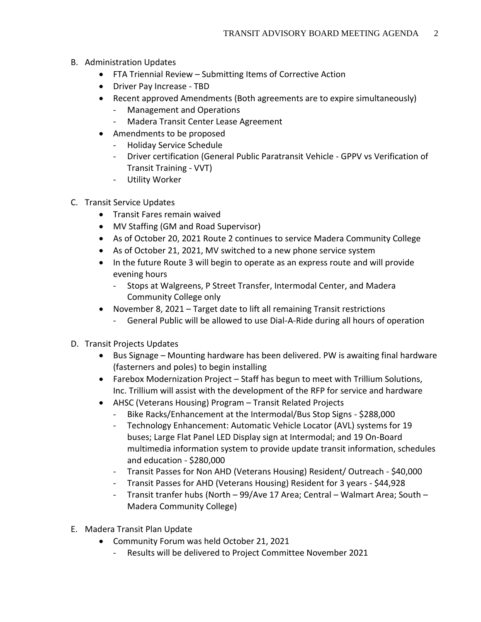- B. Administration Updates
	- FTA Triennial Review Submitting Items of Corrective Action
	- Driver Pay Increase TBD
	- Recent approved Amendments (Both agreements are to expire simultaneously)
		- Management and Operations
		- Madera Transit Center Lease Agreement
	- Amendments to be proposed
		- Holiday Service Schedule
		- Driver certification (General Public Paratransit Vehicle GPPV vs Verification of Transit Training - VVT)
		- Utility Worker
- C. Transit Service Updates
	- Transit Fares remain waived
	- MV Staffing (GM and Road Supervisor)
	- As of October 20, 2021 Route 2 continues to service Madera Community College
	- As of October 21, 2021, MV switched to a new phone service system
	- In the future Route 3 will begin to operate as an express route and will provide evening hours
		- Stops at Walgreens, P Street Transfer, Intermodal Center, and Madera Community College only
	- November 8, 2021 Target date to lift all remaining Transit restrictions
		- General Public will be allowed to use Dial-A-Ride during all hours of operation
- D. Transit Projects Updates
	- Bus Signage Mounting hardware has been delivered. PW is awaiting final hardware (fasterners and poles) to begin installing
	- Farebox Modernization Project Staff has begun to meet with Trillium Solutions, Inc. Trillium will assist with the development of the RFP for service and hardware
	- AHSC (Veterans Housing) Program Transit Related Projects
		- Bike Racks/Enhancement at the Intermodal/Bus Stop Signs \$288,000
		- Technology Enhancement: Automatic Vehicle Locator (AVL) systems for 19 buses; Large Flat Panel LED Display sign at Intermodal; and 19 On-Board multimedia information system to provide update transit information, schedules and education - \$280,000
		- Transit Passes for Non AHD (Veterans Housing) Resident/ Outreach \$40,000
		- Transit Passes for AHD (Veterans Housing) Resident for 3 years \$44,928
		- Transit tranfer hubs (North 99/Ave 17 Area; Central Walmart Area; South Madera Community College)
- E. Madera Transit Plan Update
	- Community Forum was held October 21, 2021
		- Results will be delivered to Project Committee November 2021